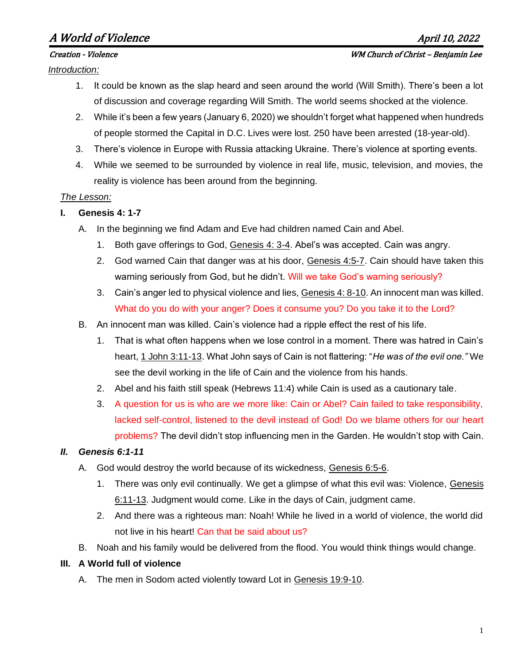# A World of Violence April 10, 2022

*Introduction:*

#### Creation - Violence WM Church of Christ – Benjamin Lee

- 1. It could be known as the slap heard and seen around the world (Will Smith). There's been a lot of discussion and coverage regarding Will Smith. The world seems shocked at the violence.
- 2. While it's been a few years (January 6, 2020) we shouldn't forget what happened when hundreds of people stormed the Capital in D.C. Lives were lost. 250 have been arrested (18-year-old).
- 3. There's violence in Europe with Russia attacking Ukraine. There's violence at sporting events.
- 4. While we seemed to be surrounded by violence in real life, music, television, and movies, the reality is violence has been around from the beginning.

#### *The Lesson:*

- **I. Genesis 4: 1-7**
	- A. In the beginning we find Adam and Eve had children named Cain and Abel.
		- 1. Both gave offerings to God, Genesis 4: 3-4. Abel's was accepted. Cain was angry.
		- 2. God warned Cain that danger was at his door, Genesis 4:5-7. Cain should have taken this warning seriously from God, but he didn't. Will we take God's warning seriously?
		- 3. Cain's anger led to physical violence and lies, Genesis 4: 8-10. An innocent man was killed. What do you do with your anger? Does it consume you? Do you take it to the Lord?
	- B. An innocent man was killed. Cain's violence had a ripple effect the rest of his life.
		- 1. That is what often happens when we lose control in a moment. There was hatred in Cain's heart, 1 John 3:11-13. What John says of Cain is not flattering: "*He was of the evil one."* We see the devil working in the life of Cain and the violence from his hands.
		- 2. Abel and his faith still speak (Hebrews 11:4) while Cain is used as a cautionary tale.
		- 3. A question for us is who are we more like: Cain or Abel? Cain failed to take responsibility, lacked self-control, listened to the devil instead of God! Do we blame others for our heart problems? The devil didn't stop influencing men in the Garden. He wouldn't stop with Cain.

## *II. Genesis 6:1-11*

- A. God would destroy the world because of its wickedness, Genesis 6:5-6.
	- 1. There was only evil continually. We get a glimpse of what this evil was: Violence, Genesis 6:11-13. Judgment would come. Like in the days of Cain, judgment came.
	- 2. And there was a righteous man: Noah! While he lived in a world of violence, the world did not live in his heart! Can that be said about us?
- B. Noah and his family would be delivered from the flood. You would think things would change.

#### **III. A World full of violence**

A. The men in Sodom acted violently toward Lot in Genesis 19:9-10.